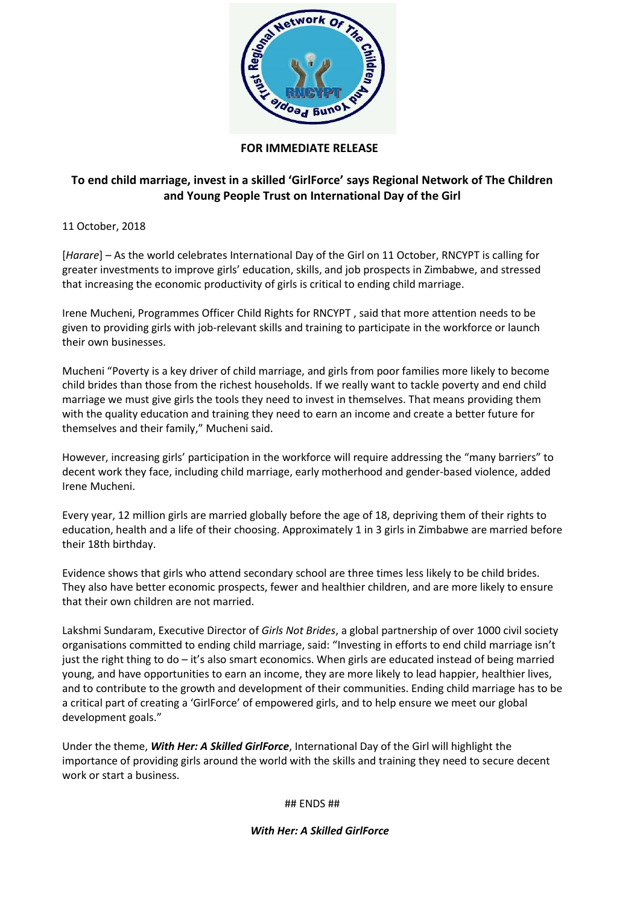

## **FOR IMMEDIATE RELEASE**

## **To end child marriage, invest in a skilled 'GirlForce' says Regional Network of The Children and Young People Trust on International Day of the Girl**

11 October, 2018

[*Harare*] – As the world celebrates International Day of the Girl on 11 October, RNCYPT is calling for greater investments to improve girls' education, skills, and job prospects in Zimbabwe, and stressed that increasing the economic productivity of girls is critical to ending child marriage.

Irene Mucheni, Programmes Officer Child Rights for RNCYPT , said that more attention needs to be given to providing girls with job-relevant skills and training to participate in the workforce or launch their own businesses.

Mucheni "Poverty is a key driver of child marriage, and girls from poor families more likely to become child brides than those from the richest households. If we really want to tackle poverty and end child marriage we must give girls the tools they need to invest in themselves. That means providing them with the quality education and training they need to earn an income and create a better future for themselves and their family," Mucheni said.

However, increasing girls' participation in the workforce will require addressing the "many barriers" to decent work they face, including child marriage, early motherhood and gender-based violence, added Irene Mucheni.

Every year, 12 million girls are married globally before the age of 18, depriving them of their rights to education, health and a life of their choosing. Approximately 1 in 3 girls in Zimbabwe are married before their 18th birthday.

Evidence shows that girls who attend secondary school are three times less likely to be child brides. They also have better economic prospects, fewer and healthier children, and are more likely to ensure that their own children are not married.

Lakshmi Sundaram, Executive Director of *Girls Not Brides*, a global partnership of over 1000 civil society organisations committed to ending child marriage, said: "Investing in efforts to end child marriage isn't just the right thing to do – it's also smart economics. When girls are educated instead of being married young, and have opportunities to earn an income, they are more likely to lead happier, healthier lives, and to contribute to the growth and development of their communities. Ending child marriage has to be a critical part of creating a 'GirlForce' of empowered girls, and to help ensure we meet our global development goals."

Under the theme, *With Her: A Skilled GirlForce*, International Day of the Girl will highlight the importance of providing girls around the world with the skills and training they need to secure decent work or start a business.

## ENDS ##

*With Her: A Skilled GirlForce*